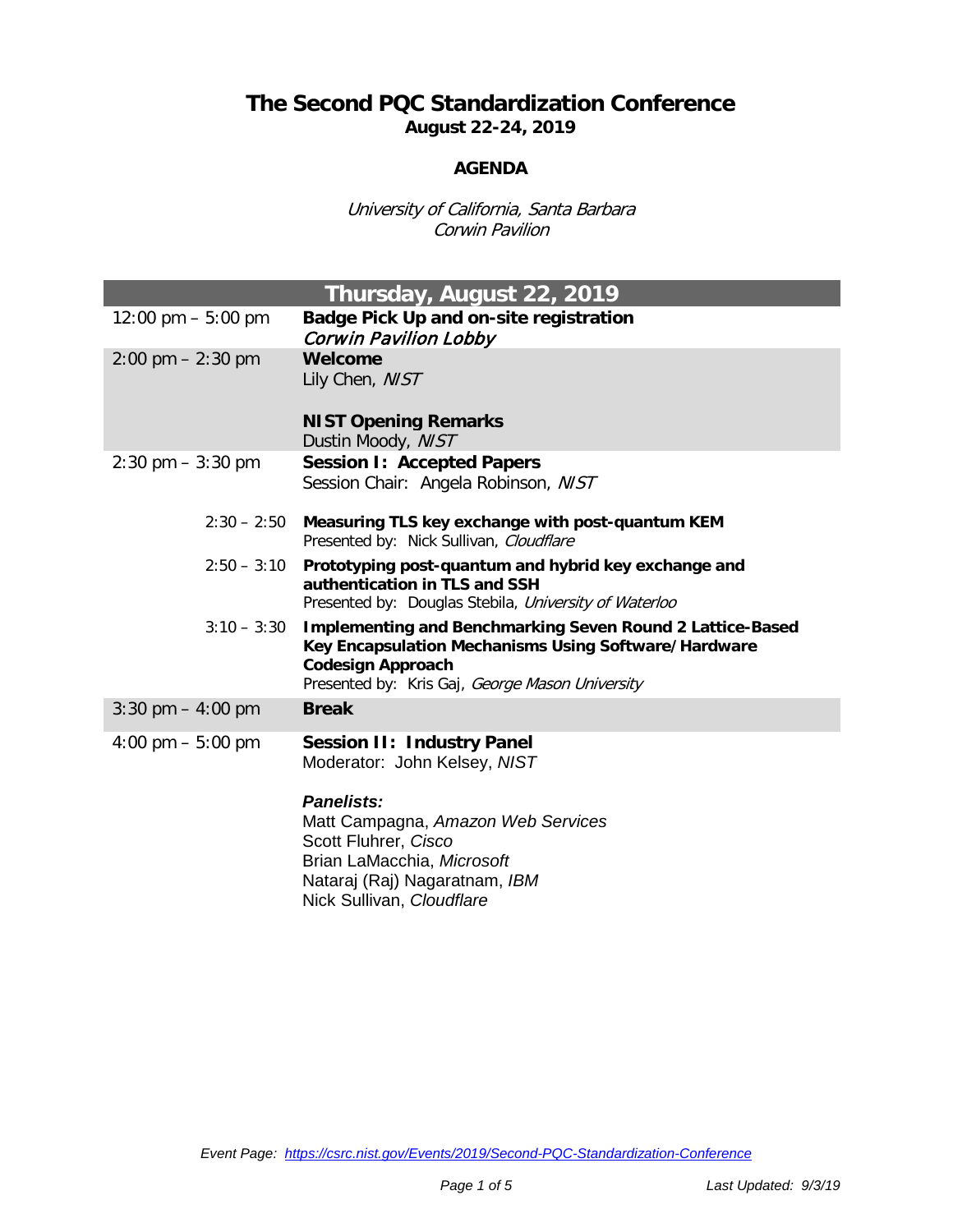## **The Second PQC Standardization Conference August 22-24, 2019**

## **AGENDA**

University of California, Santa Barbara Corwin Pavilion

| Thursday, August 22, 2019           |                                                                                                                                                                                                         |  |
|-------------------------------------|---------------------------------------------------------------------------------------------------------------------------------------------------------------------------------------------------------|--|
| 12:00 pm $-$ 5:00 pm                | Badge Pick Up and on-site registration<br>Corwin Pavilion Lobby                                                                                                                                         |  |
| $2:00 \text{ pm} - 2:30 \text{ pm}$ | Welcome<br>Lily Chen, NIST<br><b>NIST Opening Remarks</b>                                                                                                                                               |  |
|                                     | Dustin Moody, NIST                                                                                                                                                                                      |  |
| $2:30 \text{ pm} - 3:30 \text{ pm}$ | <b>Session I: Accepted Papers</b><br>Session Chair: Angela Robinson, NIST                                                                                                                               |  |
| $2:30 - 2:50$                       | Measuring TLS key exchange with post-quantum KEM<br>Presented by: Nick Sullivan, Cloudflare                                                                                                             |  |
| $2:50 - 3:10$                       | Prototyping post-quantum and hybrid key exchange and<br>authentication in TLS and SSH<br>Presented by: Douglas Stebila, University of Waterloo                                                          |  |
| $3:10 - 3:30$                       | <b>Implementing and Benchmarking Seven Round 2 Lattice-Based</b><br>Key Encapsulation Mechanisms Using Software/Hardware<br><b>Codesign Approach</b><br>Presented by: Kris Gaj, George Mason University |  |
| 3:30 pm $-$ 4:00 pm                 | <b>Break</b>                                                                                                                                                                                            |  |
| 4:00 pm $-$ 5:00 pm                 | <b>Session II: Industry Panel</b><br>Moderator: John Kelsey, NIST                                                                                                                                       |  |
|                                     | <b>Panelists:</b><br>Matt Campagna, Amazon Web Services<br>Scott Fluhrer, Cisco<br>Brian LaMacchia, Microsoft<br>Nataraj (Raj) Nagaratnam, IBM<br>Nick Sullivan, Cloudflare                             |  |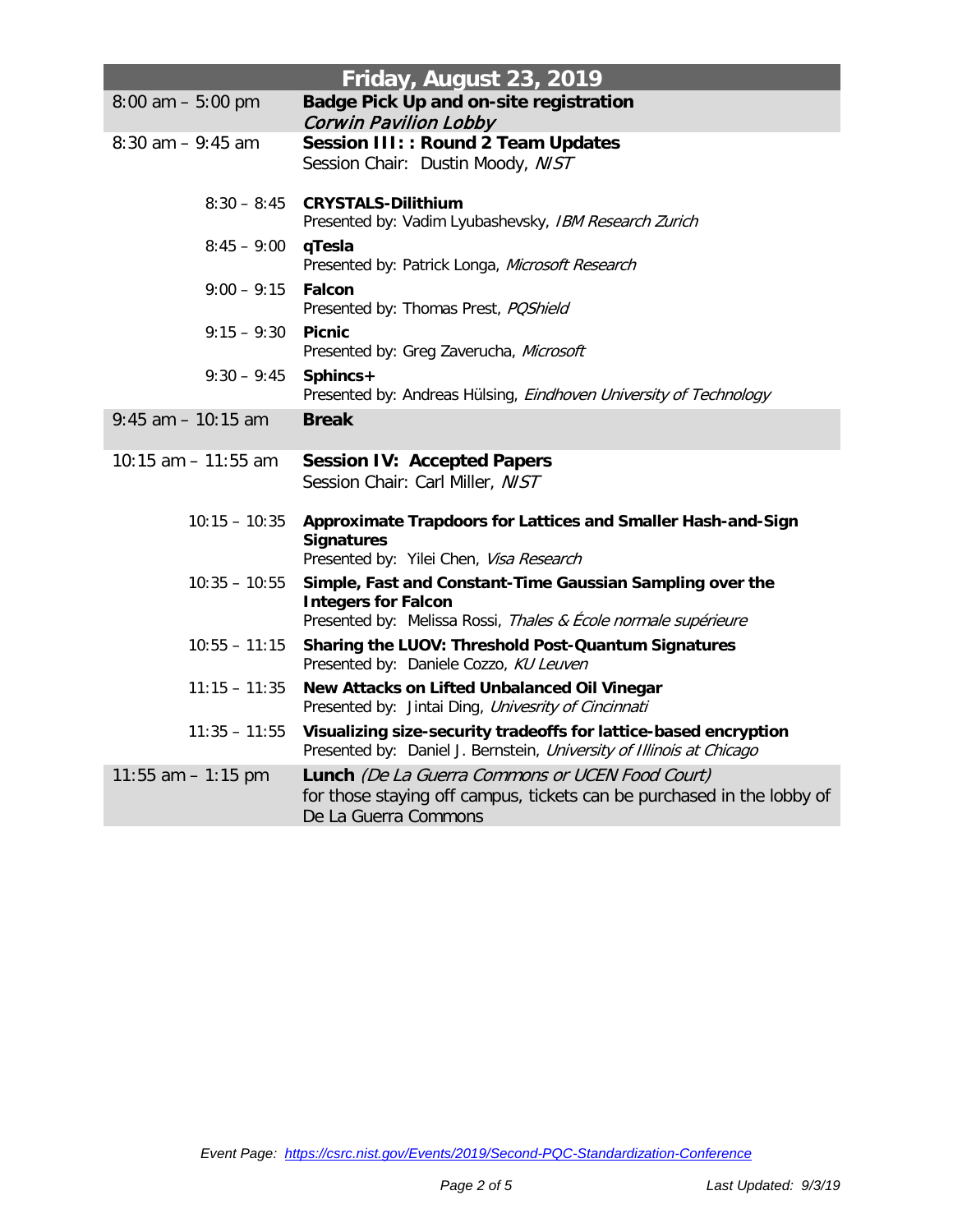| Friday, August 23, 2019 |                                                                                                                                                           |  |
|-------------------------|-----------------------------------------------------------------------------------------------------------------------------------------------------------|--|
| $8:00$ am $-5:00$ pm    | <b>Badge Pick Up and on-site registration</b><br><b>Corwin Pavilion Lobby</b>                                                                             |  |
| $8:30$ am $-9:45$ am    | Session III: : Round 2 Team Updates<br>Session Chair: Dustin Moody, NIST                                                                                  |  |
| $8:30 - 8:45$           | <b>CRYSTALS-Dilithium</b><br>Presented by: Vadim Lyubashevsky, IBM Research Zurich                                                                        |  |
| $8:45 - 9:00$           | qTesla<br>Presented by: Patrick Longa, Microsoft Research                                                                                                 |  |
| $9:00 - 9:15$           | <b>Falcon</b><br>Presented by: Thomas Prest, POShield                                                                                                     |  |
| $9:15 - 9:30$           | <b>Picnic</b><br>Presented by: Greg Zaverucha, Microsoft                                                                                                  |  |
| $9:30 - 9:45$           | Sphincs+<br>Presented by: Andreas Hülsing, Eindhoven University of Technology                                                                             |  |
| $9:45$ am $-10:15$ am   | <b>Break</b>                                                                                                                                              |  |
| 10:15 am $-$ 11:55 am   | <b>Session IV: Accepted Papers</b><br>Session Chair: Carl Miller, NIST                                                                                    |  |
| $10:15 - 10:35$         | Approximate Trapdoors for Lattices and Smaller Hash-and-Sign<br><b>Signatures</b><br>Presented by: Yilei Chen, Visa Research                              |  |
| $10:35 - 10:55$         | Simple, Fast and Constant-Time Gaussian Sampling over the<br><b>Integers for Falcon</b><br>Presented by: Melissa Rossi, Thales & École normale supérieure |  |
| $10:55 - 11:15$         | Sharing the LUOV: Threshold Post-Quantum Signatures<br>Presented by: Daniele Cozzo, KU Leuven                                                             |  |
| $11:15 - 11:35$         | New Attacks on Lifted Unbalanced Oil Vinegar<br>Presented by: Jintai Ding, Univesrity of Cincinnati                                                       |  |
| $11:35 - 11:55$         | Visualizing size-security tradeoffs for lattice-based encryption<br>Presented by: Daniel J. Bernstein, University of Illinois at Chicago                  |  |
| 11:55 am $-$ 1:15 pm    | <b>Lunch</b> (De La Guerra Commons or UCEN Food Court)<br>for those staying off campus, tickets can be purchased in the lobby of<br>De La Guerra Commons  |  |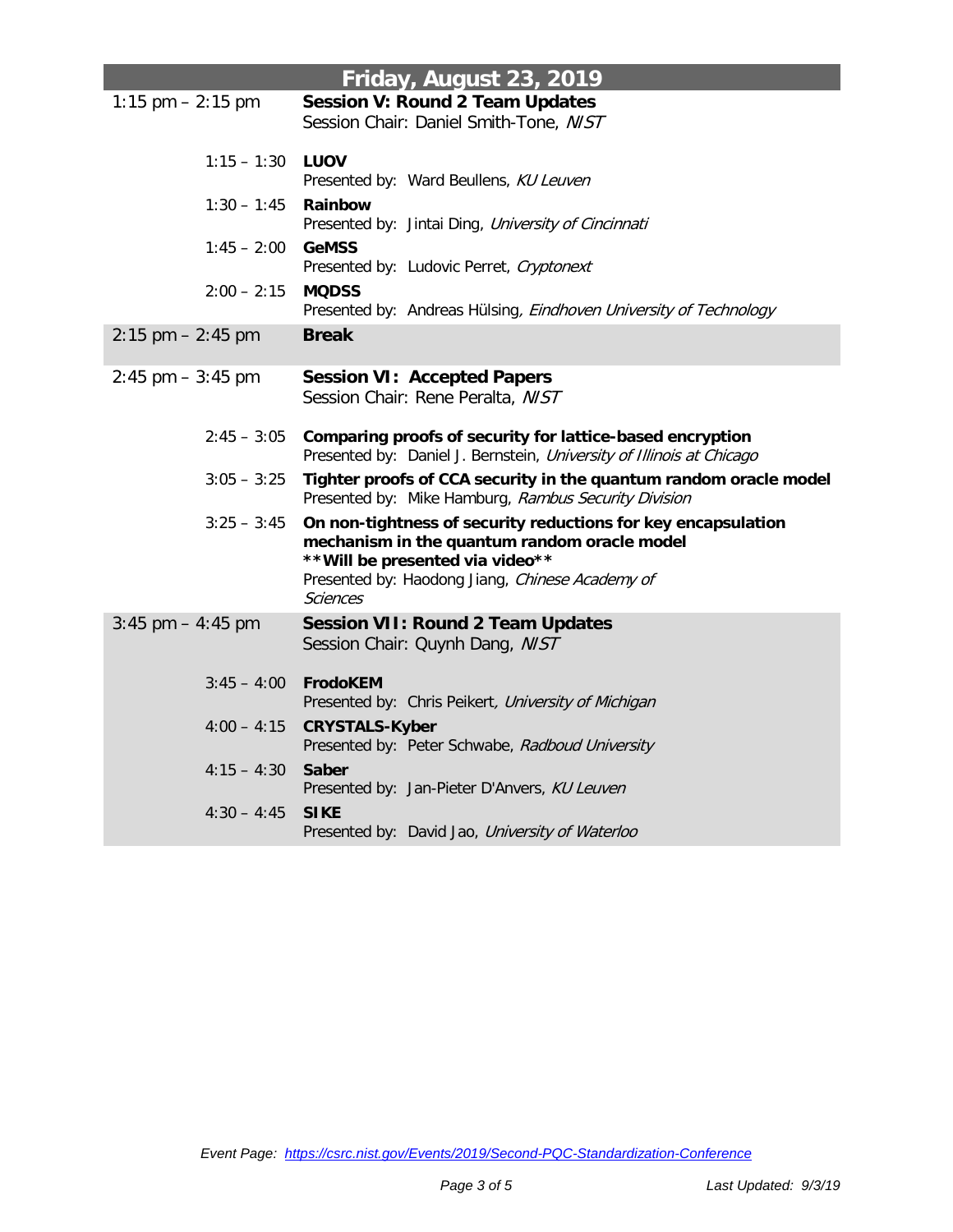| Friday, August 23, 2019 |                                                                                                                                                                                                                         |  |
|-------------------------|-------------------------------------------------------------------------------------------------------------------------------------------------------------------------------------------------------------------------|--|
| 1:15 pm $- 2:15$ pm     | <b>Session V: Round 2 Team Updates</b><br>Session Chair: Daniel Smith-Tone, NIST                                                                                                                                        |  |
| $1:15 - 1:30$           | <b>LUOV</b><br>Presented by: Ward Beullens, KU Leuven                                                                                                                                                                   |  |
| $1:30 - 1:45$           | Rainbow<br>Presented by: Jintai Ding, University of Cincinnati                                                                                                                                                          |  |
| $1:45 - 2:00$           | <b>GeMSS</b><br>Presented by: Ludovic Perret, Cryptonext                                                                                                                                                                |  |
| $2:00 - 2:15$           | <b>MQDSS</b><br>Presented by: Andreas Hülsing, Eindhoven University of Technology                                                                                                                                       |  |
| $2:15$ pm $-2:45$ pm    | <b>Break</b>                                                                                                                                                                                                            |  |
| $2:45$ pm $-3:45$ pm    | <b>Session VI: Accepted Papers</b><br>Session Chair: Rene Peralta, NIST                                                                                                                                                 |  |
| $2:45 - 3:05$           | Comparing proofs of security for lattice-based encryption<br>Presented by: Daniel J. Bernstein, University of Illinois at Chicago                                                                                       |  |
| $3:05 - 3:25$           | Tighter proofs of CCA security in the quantum random oracle model<br>Presented by: Mike Hamburg, Rambus Security Division                                                                                               |  |
| $3:25 - 3:45$           | On non-tightness of security reductions for key encapsulation<br>mechanism in the quantum random oracle model<br>** Will be presented via video**<br>Presented by: Haodong Jiang, Chinese Academy of<br><i>Sciences</i> |  |
| $3:45$ pm $-4:45$ pm    | <b>Session VII: Round 2 Team Updates</b><br>Session Chair: Quynh Dang, NIST                                                                                                                                             |  |
| $3:45 - 4:00$           | <b>FrodoKEM</b><br>Presented by: Chris Peikert, University of Michigan                                                                                                                                                  |  |
| $4:00 - 4:15$           | <b>CRYSTALS-Kyber</b><br>Presented by: Peter Schwabe, Radboud University                                                                                                                                                |  |
| $4:15 - 4:30$           | <b>Saber</b><br>Presented by: Jan-Pieter D'Anvers, KU Leuven                                                                                                                                                            |  |
| $4:30 - 4:45$           | <b>SIKE</b><br>Presented by: David Jao, University of Waterloo                                                                                                                                                          |  |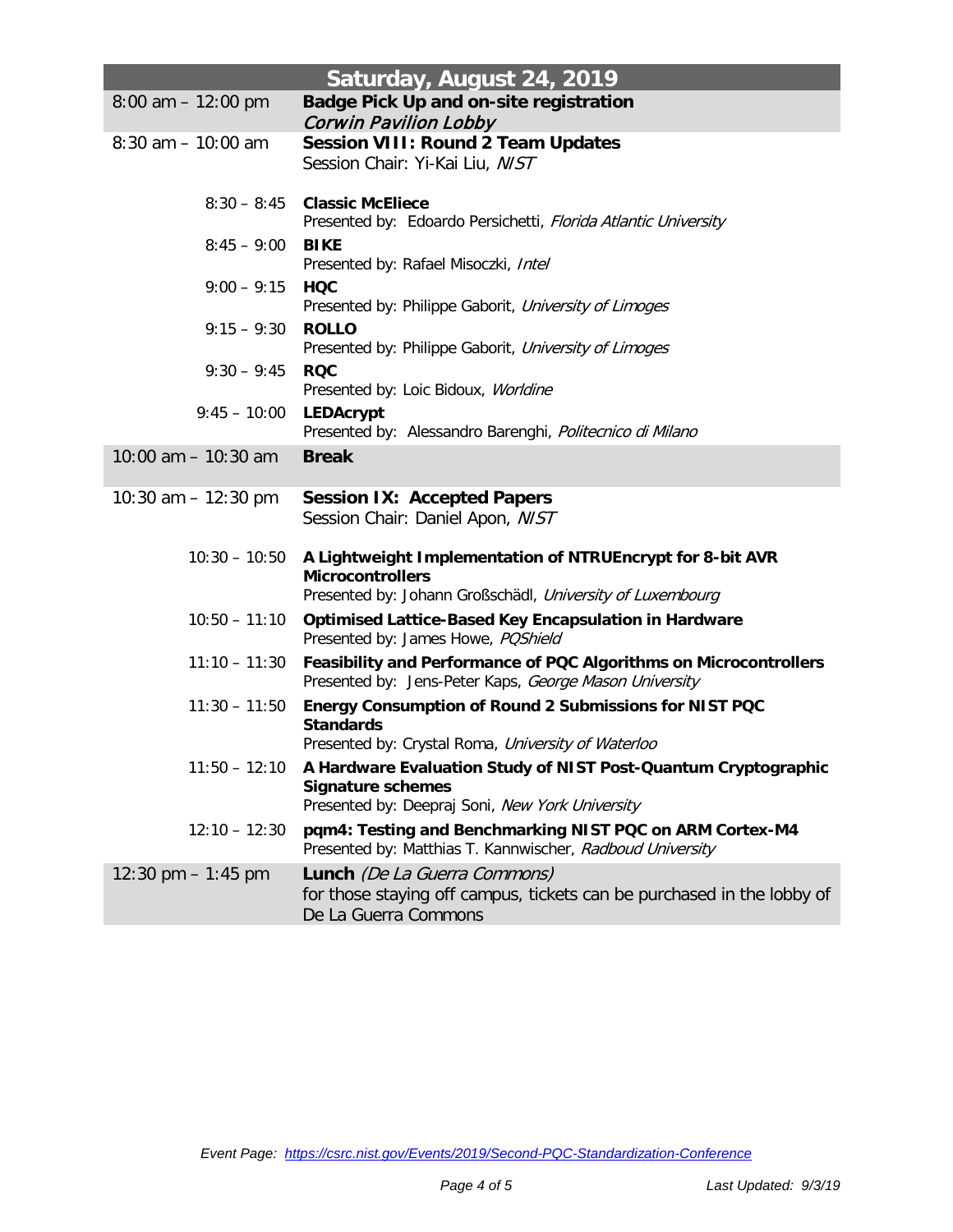| Saturday, August 24, 2019 |                                                                                                                                                   |  |
|---------------------------|---------------------------------------------------------------------------------------------------------------------------------------------------|--|
| $8:00$ am $-12:00$ pm     | <b>Badge Pick Up and on-site registration</b><br>Corwin Pavilion Lobby                                                                            |  |
| $8:30$ am $-10:00$ am     | <b>Session VIII: Round 2 Team Updates</b><br>Session Chair: Yi-Kai Liu, NIST                                                                      |  |
| $8:30 - 8:45$             | <b>Classic McEliece</b><br>Presented by: Edoardo Persichetti, Florida Atlantic University                                                         |  |
| $8:45 - 9:00$             | <b>BIKE</b><br>Presented by: Rafael Misoczki, Intel                                                                                               |  |
| $9:00 - 9:15$             | <b>HQC</b><br>Presented by: Philippe Gaborit, University of Limoges                                                                               |  |
| $9:15 - 9:30$             | <b>ROLLO</b><br>Presented by: Philippe Gaborit, University of Limoges                                                                             |  |
| $9:30 - 9:45$             | <b>RQC</b><br>Presented by: Loic Bidoux, Worldine                                                                                                 |  |
| $9:45 - 10:00$            | <b>LEDAcrypt</b><br>Presented by: Alessandro Barenghi, Politecnico di Milano                                                                      |  |
| 10:00 am $-$ 10:30 am     | <b>Break</b>                                                                                                                                      |  |
| 10:30 am $-$ 12:30 pm     | <b>Session IX: Accepted Papers</b><br>Session Chair: Daniel Apon, NIST                                                                            |  |
| $10:30 - 10:50$           | A Lightweight Implementation of NTRUEncrypt for 8-bit AVR<br><b>Microcontrollers</b><br>Presented by: Johann Großschädl, University of Luxembourg |  |
| $10:50 - 11:10$           | <b>Optimised Lattice-Based Key Encapsulation in Hardware</b><br>Presented by: James Howe, POShield                                                |  |
| $11:10 - 11:30$           | Feasibility and Performance of PQC Algorithms on Microcontrollers<br>Presented by: Jens-Peter Kaps, George Mason University                       |  |
| $11:30 - 11:50$           | Energy Consumption of Round 2 Submissions for NIST PQC<br><b>Standards</b><br>Presented by: Crystal Roma, University of Waterloo                  |  |
| $11:50 - 12:10$           | A Hardware Evaluation Study of NIST Post-Quantum Cryptographic<br><b>Signature schemes</b><br>Presented by: Deepraj Soni, New York University     |  |
| $12:10 - 12:30$           | pqm4: Testing and Benchmarking NIST PQC on ARM Cortex-M4<br>Presented by: Matthias T. Kannwischer, Radboud University                             |  |
| 12:30 pm $-1:45$ pm       | <b>Lunch</b> (De La Guerra Commons)<br>for those staying off campus, tickets can be purchased in the lobby of<br>De La Guerra Commons             |  |